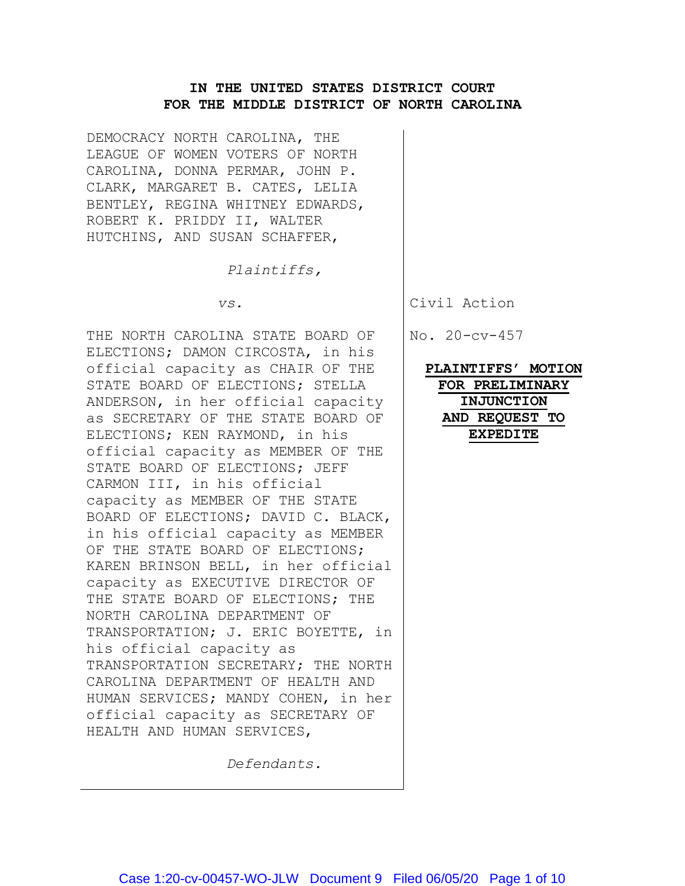## **IN THE UNITED STATES DISTRICT COURT FOR THE MIDDLE DISTRICT OF NORTH CAROLINA**

DEMOCRACY NORTH CAROLINA, THE LEAGUE OF WOMEN VOTERS OF NORTH CAROLINA, DONNA PERMAR, JOHN P. CLARK, MARGARET B. CATES, LELIA BENTLEY, REGINA WHITNEY EDWARDS, ROBERT K. PRIDDY II, WALTER HUTCHINS, AND SUSAN SCHAFFER,

*Plaintiffs,*

 *vs.*

THE NORTH CAROLINA STATE BOARD OF ELECTIONS; DAMON CIRCOSTA, in his official capacity as CHAIR OF THE STATE BOARD OF ELECTIONS; STELLA ANDERSON, in her official capacity as SECRETARY OF THE STATE BOARD OF ELECTIONS; KEN RAYMOND, in his official capacity as MEMBER OF THE STATE BOARD OF ELECTIONS; JEFF CARMON III, in his official capacity as MEMBER OF THE STATE BOARD OF ELECTIONS; DAVID C. BLACK, in his official capacity as MEMBER OF THE STATE BOARD OF ELECTIONS; KAREN BRINSON BELL, in her official capacity as EXECUTIVE DIRECTOR OF THE STATE BOARD OF ELECTIONS; THE NORTH CAROLINA DEPARTMENT OF TRANSPORTATION; J. ERIC BOYETTE, in his official capacity as TRANSPORTATION SECRETARY; THE NORTH CAROLINA DEPARTMENT OF HEALTH AND HUMAN SERVICES; MANDY COHEN, in her official capacity as SECRETARY OF HEALTH AND HUMAN SERVICES,

*Defendants.*

Civil Action

No. 20-cv-457

**PLAINTIFFS' MOTION FOR PRELIMINARY INJUNCTION AND REQUEST TO EXPEDITE**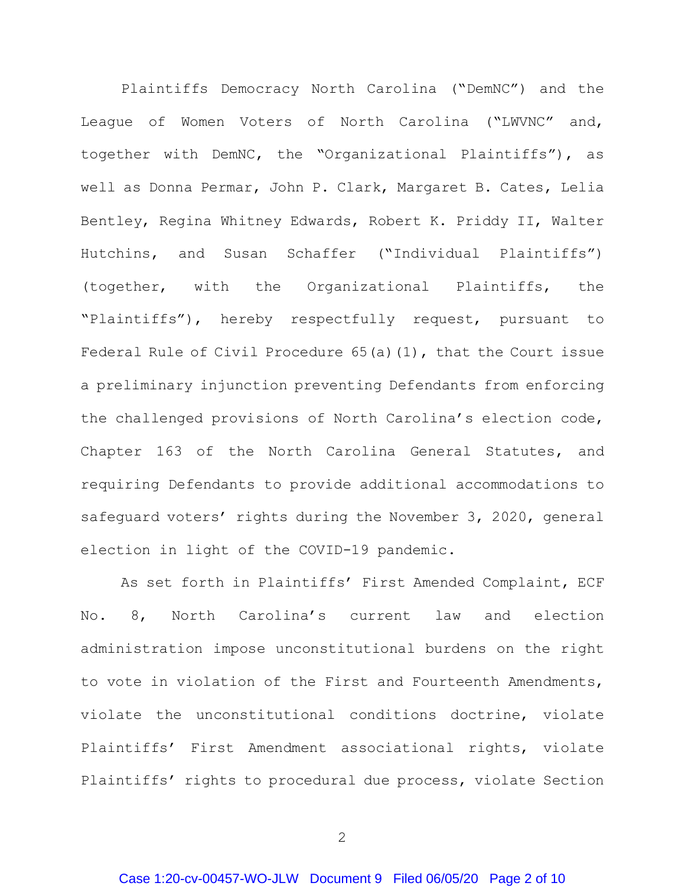Plaintiffs Democracy North Carolina ("DemNC") and the League of Women Voters of North Carolina ("LWVNC" and, together with DemNC, the "Organizational Plaintiffs"), as well as Donna Permar, John P. Clark, Margaret B. Cates, Lelia Bentley, Regina Whitney Edwards, Robert K. Priddy II, Walter Hutchins, and Susan Schaffer ("Individual Plaintiffs") (together, with the Organizational Plaintiffs, the "Plaintiffs"), hereby respectfully request, pursuant to Federal Rule of Civil Procedure 65(a)(1), that the Court issue a preliminary injunction preventing Defendants from enforcing the challenged provisions of North Carolina's election code, Chapter 163 of the North Carolina General Statutes, and requiring Defendants to provide additional accommodations to safequard voters' rights during the November 3, 2020, general election in light of the COVID-19 pandemic.

As set forth in Plaintiffs' First Amended Complaint, ECF No. 8, North Carolina's current law and election administration impose unconstitutional burdens on the right to vote in violation of the First and Fourteenth Amendments, violate the unconstitutional conditions doctrine, violate Plaintiffs' First Amendment associational rights, violate Plaintiffs' rights to procedural due process, violate Section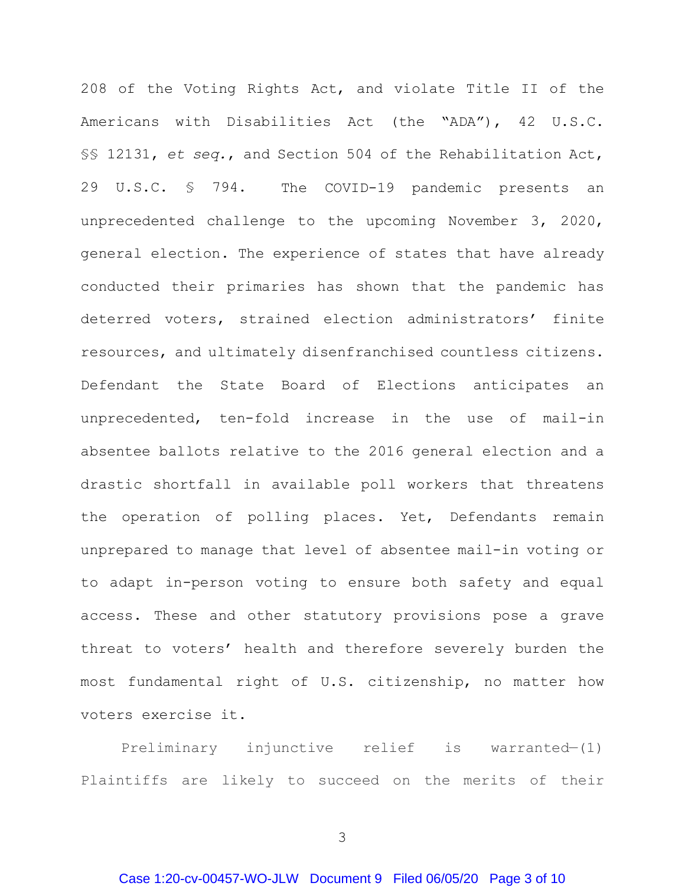208 of the Voting Rights Act, and violate Title II of the Americans with Disabilities Act (the "ADA"), 42 U.S.C. §§ 12131, *et seq.*, and Section 504 of the Rehabilitation Act, 29 U.S.C. § 794. The COVID-19 pandemic presents an unprecedented challenge to the upcoming November 3, 2020, general election. The experience of states that have already conducted their primaries has shown that the pandemic has deterred voters, strained election administrators' finite resources, and ultimately disenfranchised countless citizens. Defendant the State Board of Elections anticipates an unprecedented, ten-fold increase in the use of mail-in absentee ballots relative to the 2016 general election and a drastic shortfall in available poll workers that threatens the operation of polling places. Yet, Defendants remain unprepared to manage that level of absentee mail-in voting or to adapt in-person voting to ensure both safety and equal access. These and other statutory provisions pose a grave threat to voters' health and therefore severely burden the most fundamental right of U.S. citizenship, no matter how voters exercise it.

Preliminary injunctive relief is warranted—(1) Plaintiffs are likely to succeed on the merits of their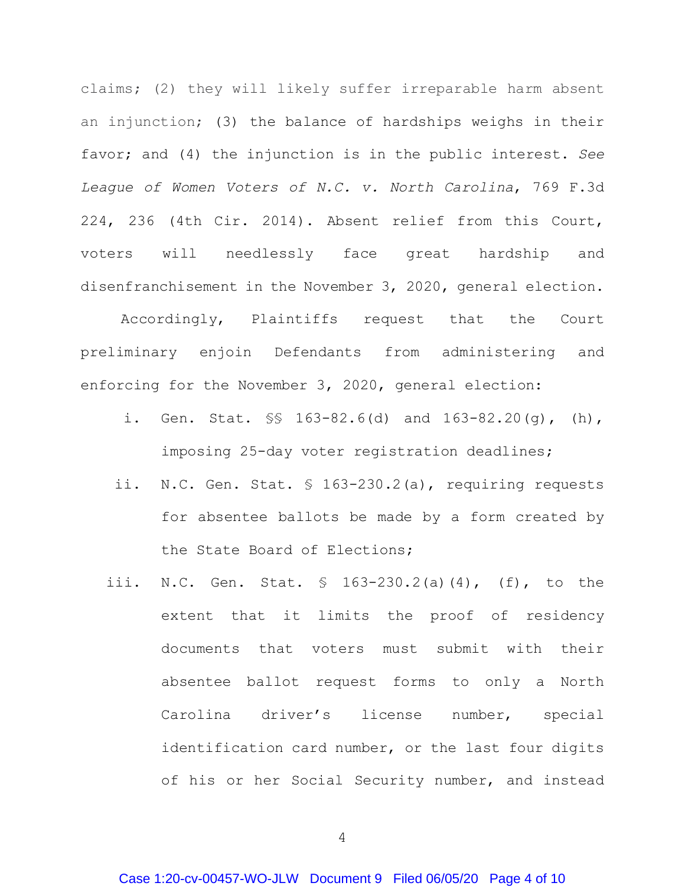claims; (2) they will likely suffer irreparable harm absent an injunction; (3) the balance of hardships weighs in their favor; and (4) the injunction is in the public interest. *See League of Women Voters of N.C. v. North Carolina*, 769 F.3d 224, 236 (4th Cir. 2014). Absent relief from this Court, voters will needlessly face great hardship and disenfranchisement in the November 3, 2020, general election.

Accordingly, Plaintiffs request that the Court preliminary enjoin Defendants from administering and enforcing for the November 3, 2020, general election:

- i. Gen. Stat. §§ 163-82.6(d) and 163-82.20(g), (h), imposing 25-day voter registration deadlines;
- ii. N.C. Gen. Stat. § 163-230.2(a), requiring requests for absentee ballots be made by a form created by the State Board of Elections;
- iii. N.C. Gen. Stat. § 163-230.2(a)(4), (f), to the extent that it limits the proof of residency documents that voters must submit with their absentee ballot request forms to only a North Carolina driver's license number, special identification card number, or the last four digits of his or her Social Security number, and instead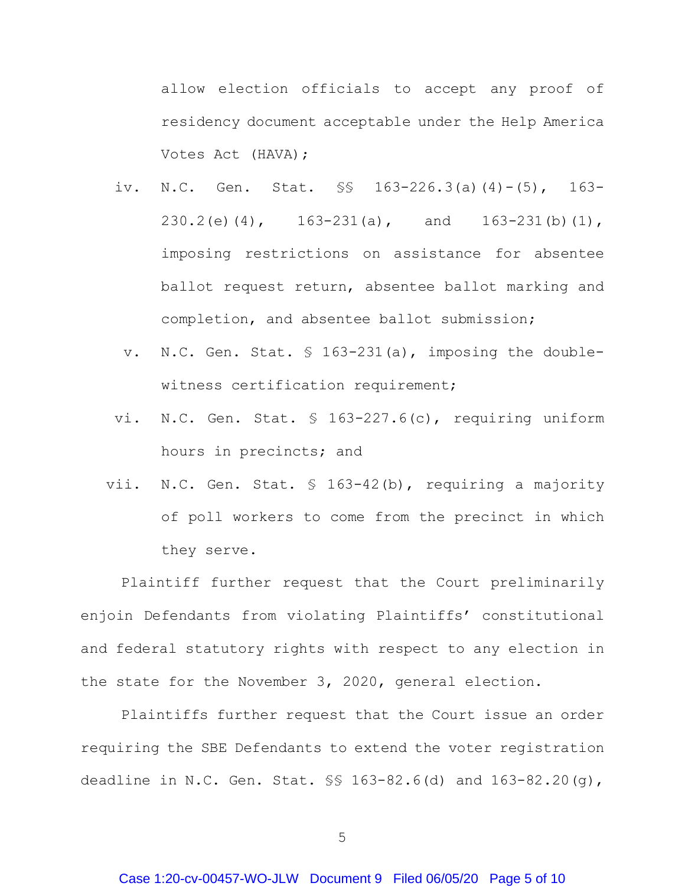allow election officials to accept any proof of residency document acceptable under the Help America Votes Act (HAVA);

- iv. N.C. Gen. Stat. §§ 163-226.3(a)(4)-(5), 163- 230.2(e)(4), 163-231(a), and 163-231(b)(1), imposing restrictions on assistance for absentee ballot request return, absentee ballot marking and completion, and absentee ballot submission;
	- v. N.C. Gen. Stat. § 163-231(a), imposing the doublewitness certification requirement;
- vi. N.C. Gen. Stat. § 163-227.6(c), requiring uniform hours in precincts; and
- vii. N.C. Gen. Stat. § 163-42(b), requiring a majority of poll workers to come from the precinct in which they serve.

Plaintiff further request that the Court preliminarily enjoin Defendants from violating Plaintiffs' constitutional and federal statutory rights with respect to any election in the state for the November 3, 2020, general election.

Plaintiffs further request that the Court issue an order requiring the SBE Defendants to extend the voter registration deadline in N.C. Gen. Stat. §§ 163-82.6(d) and 163-82.20(g),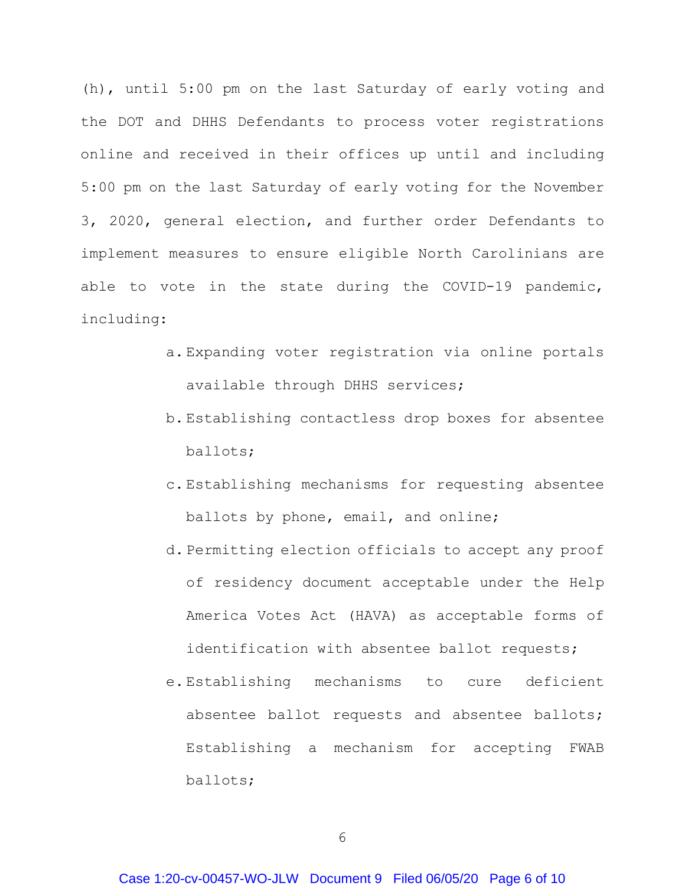(h), until 5:00 pm on the last Saturday of early voting and the DOT and DHHS Defendants to process voter registrations online and received in their offices up until and including 5:00 pm on the last Saturday of early voting for the November 3, 2020, general election, and further order Defendants to implement measures to ensure eligible North Carolinians are able to vote in the state during the COVID-19 pandemic, including:

- a. Expanding voter registration via online portals available through DHHS services;
- b. Establishing contactless drop boxes for absentee ballots;
- c. Establishing mechanisms for requesting absentee ballots by phone, email, and online;
- d. Permitting election officials to accept any proof of residency document acceptable under the Help America Votes Act (HAVA) as acceptable forms of identification with absentee ballot requests;
- e. Establishing mechanisms to cure deficient absentee ballot requests and absentee ballots; Establishing a mechanism for accepting FWAB ballots;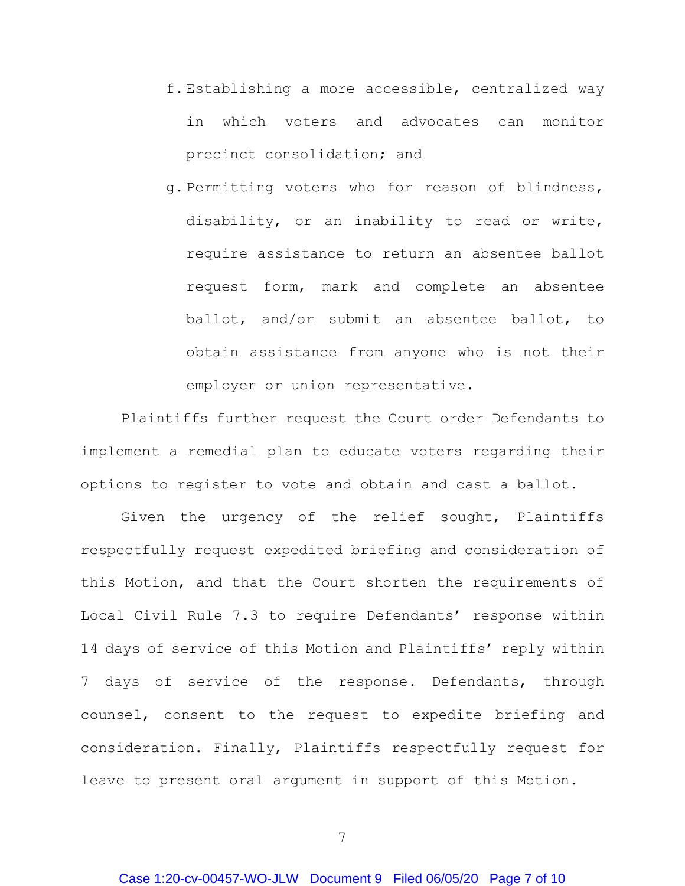- f. Establishing a more accessible, centralized way in which voters and advocates can monitor precinct consolidation; and
- g. Permitting voters who for reason of blindness, disability, or an inability to read or write, require assistance to return an absentee ballot request form, mark and complete an absentee ballot, and/or submit an absentee ballot, to obtain assistance from anyone who is not their employer or union representative.

Plaintiffs further request the Court order Defendants to implement a remedial plan to educate voters regarding their options to register to vote and obtain and cast a ballot.

Given the urgency of the relief sought, Plaintiffs respectfully request expedited briefing and consideration of this Motion, and that the Court shorten the requirements of Local Civil Rule 7.3 to require Defendants' response within 14 days of service of this Motion and Plaintiffs' reply within 7 days of service of the response. Defendants, through counsel, consent to the request to expedite briefing and consideration. Finally, Plaintiffs respectfully request for leave to present oral argument in support of this Motion.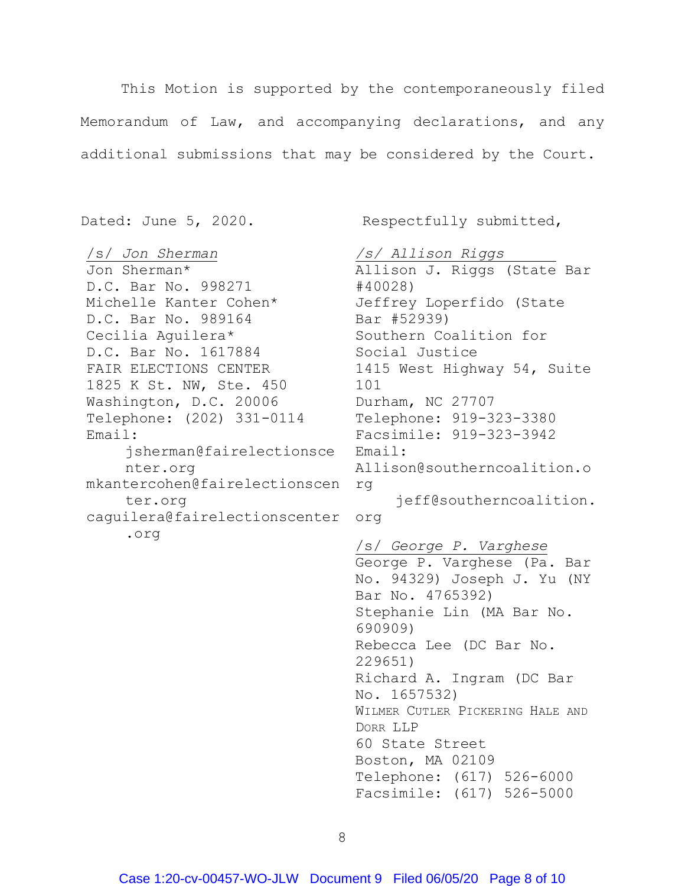This Motion is supported by the contemporaneously filed Memorandum of Law, and accompanying declarations, and any additional submissions that may be considered by the Court.

/s/ *Jon Sherman* Jon Sherman\* D.C. Bar No. 998271 Michelle Kanter Cohen\* D.C. Bar No. 989164 Cecilia Aguilera\* D.C. Bar No. 1617884 FAIR ELECTIONS CENTER 1825 K St. NW, Ste. 450 Washington, D.C. 20006 Telephone: (202) 331-0114 Telephone: 919-323-3380 Email: jsherman@fairelectionsce Email: nter.org mkantercohen@fairelectionscen rg ter.org caguilera@fairelectionscenter org .org

Dated: June 5, 2020. Respectfully submitted,

*/s/ Allison Riggs*

Allison J. Riggs (State Bar #40028) Jeffrey Loperfido (State Bar #52939) Southern Coalition for Social Justice 1415 West Highway 54, Suite 101 Durham, NC 27707 Facsimile: 919-323-3942 Allison@southerncoalition.o jeff@southerncoalition. /s/ *George P. Varghese* George P. Varghese (Pa. Bar No. 94329) Joseph J. Yu (NY Bar No. 4765392) Stephanie Lin (MA Bar No. 690909) Rebecca Lee (DC Bar No. 229651) Richard A. Ingram (DC Bar

No. 1657532) WILMER CUTLER PICKERING HALE AND DORR LLP 60 State Street Boston, MA 02109 Telephone: (617) 526-6000 Facsimile: (617) 526-5000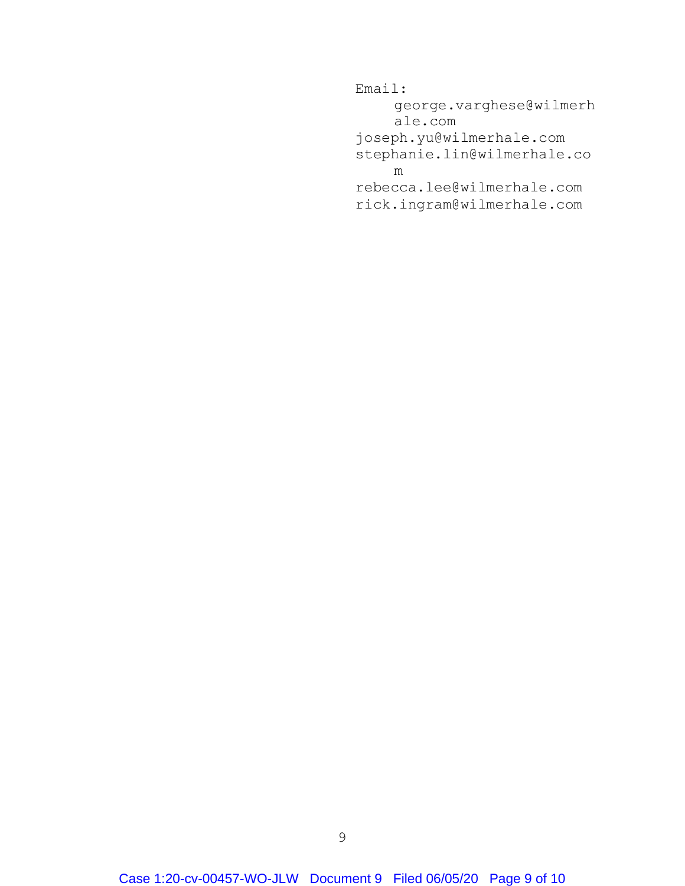Email: george.varghese@wilmerh ale.com joseph.yu@wilmerhale.com stephanie.lin@wilmerhale.co m rebecca.lee@wilmerhale.com rick.ingram@wilmerhale.com